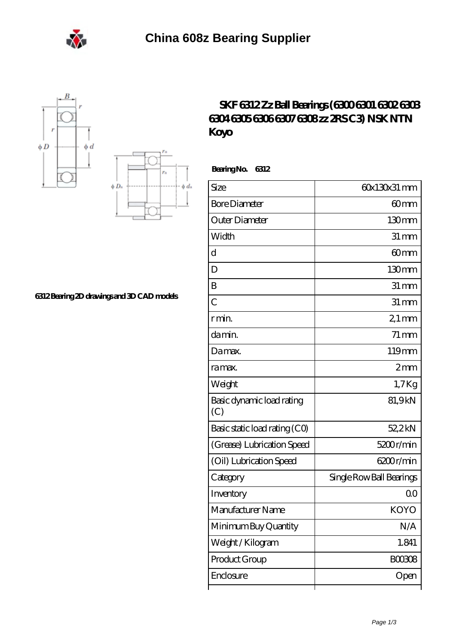





## **[6312 Bearing 2D drawings and 3D CAD models](https://m.eheuroantenna.com/pic-636111.html)**

## **[SKF 6312 Zz Ball Bearings \(6300 6301 6302 6303](https://m.eheuroantenna.com/6312-c3-bearing/koyo-6312.html) [6304 6305 6306 6307 6308 zz 2RS C3\) NSK NTN](https://m.eheuroantenna.com/6312-c3-bearing/koyo-6312.html) [Koyo](https://m.eheuroantenna.com/6312-c3-bearing/koyo-6312.html)**

 **Bearing No. 6312**

| Size                             | 60x130x31 mm             |
|----------------------------------|--------------------------|
| <b>Bore Diameter</b>             | 60mm                     |
| Outer Diameter                   | 130mm                    |
| Width                            | $31 \,\mathrm{mm}$       |
| d                                | 60 <sub>mm</sub>         |
| D                                | 130mm                    |
| B                                | $31 \,\mathrm{mm}$       |
| $\overline{C}$                   | $31 \, \text{mm}$        |
| r min.                           | $21$ mm                  |
| da min.                          | $71 \,\mathrm{mm}$       |
| Damax.                           | 119mm                    |
| ra max.                          | 2mm                      |
| Weight                           | 1,7Kg                    |
| Basic dynamic load rating<br>(C) | 81,9kN                   |
| Basic static load rating (CO)    | 52,2kN                   |
| (Grease) Lubrication Speed       | 5200r/min                |
| (Oil) Lubrication Speed          | 6200r/min                |
| Category                         | Single Row Ball Bearings |
| Inventory                        | 00                       |
| Manufacturer Name                | <b>KOYO</b>              |
| Minimum Buy Quantity             | N/A                      |
| Weight / Kilogram                | 1.841                    |
| Product Group                    | BOO3O8                   |
| Enclosure                        | Open                     |
|                                  |                          |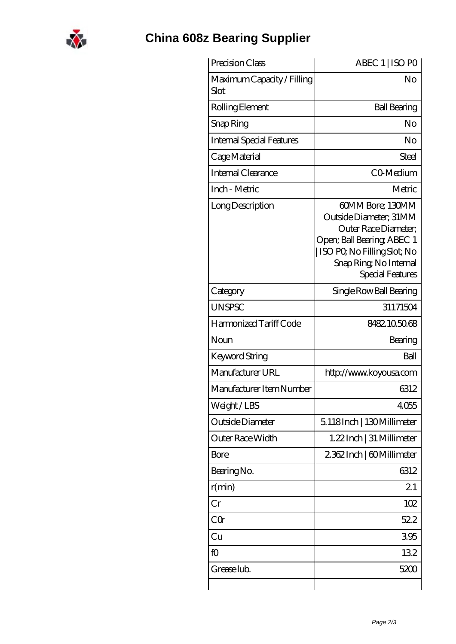

## **[China 608z Bearing Supplier](https://m.eheuroantenna.com)**

| ABEC 1   ISO PO                                                                                                                                                                |
|--------------------------------------------------------------------------------------------------------------------------------------------------------------------------------|
| No                                                                                                                                                                             |
| <b>Ball Bearing</b>                                                                                                                                                            |
| No                                                                                                                                                                             |
| No                                                                                                                                                                             |
| Steel                                                                                                                                                                          |
| CO-Medium                                                                                                                                                                      |
| Metric                                                                                                                                                                         |
| 60MM Bore; 130MM<br>Outside Diameter: 31MM<br>Outer Race Diameter;<br>Open; Ball Bearing; ABEC 1<br>  ISO PQ No Filling Slot; No<br>Snap Ring, No Internal<br>Special Features |
| Single Row Ball Bearing                                                                                                                                                        |
| 31171504                                                                                                                                                                       |
| 8482105068                                                                                                                                                                     |
| Bearing                                                                                                                                                                        |
| Ball                                                                                                                                                                           |
| http://www.koyousa.com                                                                                                                                                         |
| 6312                                                                                                                                                                           |
| 4055                                                                                                                                                                           |
| 5.118Inch   130Millimeter                                                                                                                                                      |
| 1.22 Inch   31 Millimeter                                                                                                                                                      |
| 2362Inch   60Millimeter                                                                                                                                                        |
| 6312                                                                                                                                                                           |
| 21                                                                                                                                                                             |
| 102                                                                                                                                                                            |
| 522                                                                                                                                                                            |
| 395                                                                                                                                                                            |
| 132                                                                                                                                                                            |
|                                                                                                                                                                                |
|                                                                                                                                                                                |